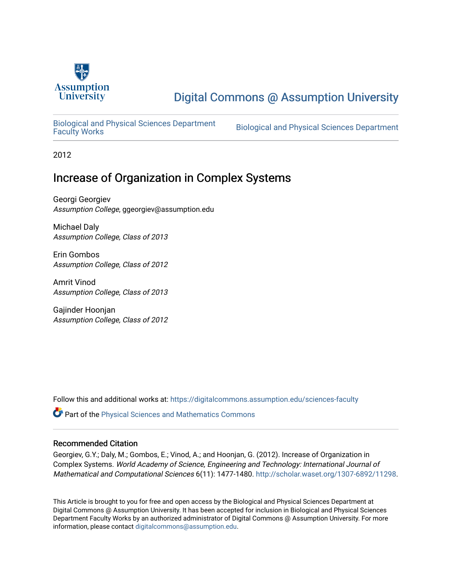

# [Digital Commons @ Assumption University](https://digitalcommons.assumption.edu/)

[Biological and Physical Sciences Department](https://digitalcommons.assumption.edu/sciences-faculty)

Biological and Physical Sciences Department

2012

## Increase of Organization in Complex Systems

Georgi Georgiev Assumption College, ggeorgiev@assumption.edu

Michael Daly Assumption College, Class of 2013

Erin Gombos Assumption College, Class of 2012

Amrit Vinod Assumption College, Class of 2013

Gajinder Hoonjan Assumption College, Class of 2012

Follow this and additional works at: [https://digitalcommons.assumption.edu/sciences-faculty](https://digitalcommons.assumption.edu/sciences-faculty?utm_source=digitalcommons.assumption.edu%2Fsciences-faculty%2F10&utm_medium=PDF&utm_campaign=PDFCoverPages) 

**C** Part of the Physical Sciences and Mathematics Commons

## Recommended Citation

Georgiev, G.Y.; Daly, M.; Gombos, E.; Vinod, A.; and Hoonjan, G. (2012). Increase of Organization in Complex Systems. World Academy of Science, Engineering and Technology: International Journal of Mathematical and Computational Sciences 6(11): 1477-1480. [http://scholar.waset.org/1307-6892/11298.](http://scholar.waset.org/1307-6892/11298)

This Article is brought to you for free and open access by the Biological and Physical Sciences Department at Digital Commons @ Assumption University. It has been accepted for inclusion in Biological and Physical Sciences Department Faculty Works by an authorized administrator of Digital Commons @ Assumption University. For more information, please contact [digitalcommons@assumption.edu.](mailto:digitalcommons@assumption.edu)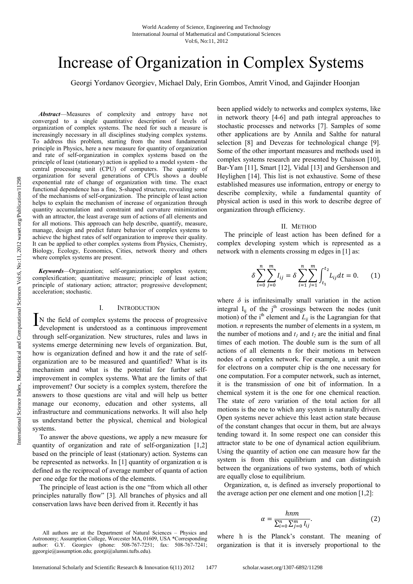Vol:6, No:11, 2012

*Abstract*—Measures of complexity and entropy have not converged to a single quantitative description of levels of organization of complex systems. The need for such a measure is increasingly necessary in all disciplines studying complex systems. To address this problem, starting from the most fundamental principle in Physics, here a new measure for quantity of organization and rate of self-organization in complex systems based on the principle of least (stationary) action is applied to a model system - the central processing unit (CPU) of computers. The quantity of organization for several generations of CPUs shows a double exponential rate of change of organization with time. The exact functional dependence has a fine, S-shaped structure, revealing some of the mechanisms of self-organization. The principle of least action helps to explain the mechanism of increase of organization through quantity accumulation and constraint and curvature minimization with an attractor, the least average sum of actions of all elements and for all motions. This approach can help describe, quantify, measure, manage, design and predict future behavior of complex systems to achieve the highest rates of self organization to improve their quality. It can be applied to other complex systems from Physics, Chemistry, Biology, Ecology, Economics, Cities, network theory and others where complex systems are present.

*Keywords—*Organization; self-organization; complex system; complexification; quantitative measure; principle of least action; principle of stationary action; attractor; progressive development; acceleration; stochastic.

#### I. INTRODUCTION

IN the field of complex systems the process of progressive development is understood as a continuous improvement development is understood as a continuous improvement through self-organization. New structures, rules and laws in systems emerge determining new levels of organization. But, how is organization defined and how it and the rate of selforganization are to be measured and quantified? What is its mechanism and what is the potential for further selfimprovement in complex systems. What are the limits of that improvement? Our society is a complex system, therefore the answers to those questions are vital and will help us better manage our economy, education and other systems, all infrastructure and communications networks. It will also help us understand better the physical, chemical and biological systems.

To answer the above questions, we apply a new measure for quantity of organization and rate of self-organization [1,2] based on the principle of least (stationary) action. Systems can be represented as networks. In [1] quantity of organization  $\alpha$  is defined as the reciprocal of average number of quanta of action per one edge for the motions of the elements.

The principle of least action is the one "from which all other principles naturally flow" [3]. All branches of physics and all conservation laws have been derived from it. Recently it has

been applied widely to networks and complex systems, like in network theory [4-6] and path integral approaches to stochastic processes and networks [7]. Samples of some other applications are by Annila and Salthe for natural selection [8] and Devezas for technological change [9]. Some of the other important measures and methods used in complex systems research are presented by Chaisson [10], Bar-Yam [11], Smart [12], Vidal [13] and Gershenson and Heylighen [14]. This list is not exhaustive. Some of these established measures use information, entropy or energy to describe complexity, while a fundamental quantity of physical action is used in this work to describe degree of organization through efficiency.

#### II. METHOD

The principle of least action has been defined for a complex developing system which is represented as a network with n elements crossing m edges in [1] as:

$$
\delta \sum_{i=0}^{n} \sum_{j=0}^{m} I_{ij} = \delta \sum_{i=1}^{n} \sum_{j=1}^{m} \int_{t_1}^{t_2} L_{ij} dt = 0.
$$
 (1)

where  $\delta$  is infinitesimally small variation in the action integral  $I_{ij}$  of the  $j<sup>th</sup>$  crossings between the nodes (unit motion) of the i<sup>th</sup> element and  $L_{ij}$  is the Lagrangian for that motion. *n* represents the number of elements in a system, m the number of motions and  $t_1$  and  $t_2$  are the initial and final times of each motion. The double sum is the sum of all actions of all elements n for their motions m between nodes of a complex network. For example, a unit motion for electrons on a computer chip is the one necessary for one computation. For a computer network, such as internet, it is the transmission of one bit of information. In a chemical system it is the one for one chemical reaction. The state of zero variation of the total action for all motions is the one to which any system is naturally driven. Open systems never achieve this least action state because of the constant changes that occur in them, but are always tending toward it. In some respect one can consider this attractor state to be one of dynamical action equilibrium. Using the quantity of action one can measure how far the system is from this equilibrium and can distinguish between the organizations of two systems, both of which are equally close to equilibrium.

Organization, α, is defined as inversely proportional to the average action per one element and one motion [1,2]:

$$
\alpha = \frac{hnm}{\sum_{i=0}^{n} \sum_{j=0}^{m} I_{ij}}.\tag{2}
$$

where h is the Planck's constant. The meaning of organization is that it is inversely proportional to the

All authors are at the Department of Natural Sciences – Physics and Astronomy; Assumption College, Worcester MA, 01609, USA \*Corresponding author: G.Y. Georgiev (phone: 508-767-7251; fax: 508-767-7241; ggeorgie@assumption.edu; georgi@alumni.tufts.edu).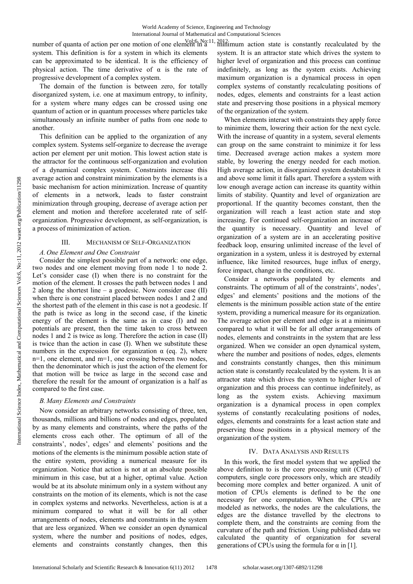number of quanta of action per one motion of one element in a  $\frac{Vol(6, No:11, 2012)}{minimum}$  action state is constantly recalculated by the system. This definition is for a system in which its elements can be approximated to be identical. It is the efficiency of physical action. The time derivative of  $\alpha$  is the rate of progressive development of a complex system.

The domain of the function is between zero, for totally disorganized system, i.e. one at maximum entropy, to infinity, for a system where many edges can be crossed using one quantum of action or in quantum processes where particles take simultaneously an infinite number of paths from one node to another.

This definition can be applied to the organization of any complex system. Systems self-organize to decrease the average action per element per unit motion. This lowest action state is the attractor for the continuous self-organization and evolution of a dynamical complex system. Constraints increase this average action and constraint minimization by the elements is a basic mechanism for action minimization. Increase of quantity of elements in a network, leads to faster constraint minimization through grouping, decrease of average action per element and motion and therefore accelerated rate of selforganization. Progressive development, as self-organization, is a process of minimization of action.

#### III. MECHANISM OF SELF-ORGANIZATION

#### *A. One Element and One Constraint*

Consider the simplest possible part of a network: one edge, two nodes and one element moving from node 1 to node 2. Let's consider case (I) when there is no constraint for the motion of the element. It crosses the path between nodes 1 and 2 along the shortest line – a geodesic. Now consider case (II) when there is one constraint placed between nodes 1 and 2 and the shortest path of the element in this case is not a geodesic. If the path is twice as long in the second case, if the kinetic energy of the element is the same as in case (I) and no potentials are present, then the time taken to cross between nodes 1 and 2 is twice as long. Therefore the action in case (II) is twice than the action in case (I). When we substitute these numbers in the expression for organization  $\alpha$  (eq. 2), where n=1, one element, and m=1, one crossing between two nodes, then the denominator which is just the action of the element for that motion will be twice as large in the second case and therefore the result for the amount of organization is a half as compared to the first case.

### *B. Many Elements and Constraints*

Now consider an arbitrary networks consisting of three, ten, thousands, millions and billions of nodes and edges, populated by as many elements and constraints, where the paths of the elements cross each other. The optimum of all of the constraints', nodes', edges' and elements' positions and the motions of the elements is the minimum possible action state of the entire system, providing a numerical measure for its organization. Notice that action is not at an absolute possible minimum in this case, but at a higher, optimal value. Action would be at its absolute minimum only in a system without any constraints on the motion of its elements, which is not the case in complex systems and networks. Nevertheless, action is at a minimum compared to what it will be for all other arrangements of nodes, elements and constraints in the system that are less organized. When we consider an open dynamical system, where the number and positions of nodes, edges, elements and constraints constantly changes, then this

system. It is an attractor state which drives the system to higher level of organization and this process can continue indefinitely, as long as the system exists. Achieving maximum organization is a dynamical process in open complex systems of constantly recalculating positions of nodes, edges, elements and constraints for a least action state and preserving those positions in a physical memory of the organization of the system.

When elements interact with constraints they apply force to minimize them, lowering their action for the next cycle. With the increase of quantity in a system, several elements can group on the same constraint to minimize it for less time. Decreased average action makes a system more stable, by lowering the energy needed for each motion. High average action, in disorganized system destabilizes it and above some limit it falls apart. Therefore a system with low enough average action can increase its quantity within limits of stability. Quantity and level of organization are proportional. If the quantity becomes constant, then the organization will reach a least action state and stop increasing. For continued self-organization an increase of the quantity is necessary. Quantity and level of organization of a system are in an accelerating positive feedback loop, ensuring unlimited increase of the level of organization in a system, unless it is destroyed by external influence, like limited resources, huge influx of energy, force impact, change in the conditions, etc.

Consider a networks populated by elements and constraints. The optimum of all of the constraints', nodes', edges' and elements' positions and the motions of the elements is the minimum possible action state of the entire system, providing a numerical measure for its organization. The average action per element and edge is at a minimum compared to what it will be for all other arrangements of nodes, elements and constraints in the system that are less organized. When we consider an open dynamical system, where the number and positions of nodes, edges, elements and constraints constantly changes, then this minimum action state is constantly recalculated by the system. It is an attractor state which drives the system to higher level of organization and this process can continue indefinitely, as long as the system exists. Achieving maximum organization is a dynamical process in open complex systems of constantly recalculating positions of nodes, edges, elements and constraints for a least action state and preserving those positions in a physical memory of the organization of the system.

#### IV. DATA ANALYSIS AND RESULTS

In this work, the first model system that we applied the above definition to is the core processing unit (CPU) of computers, single core processors only, which are steadily becoming more complex and better organized. A unit of motion of CPUs elements is defined to be the one necessary for one computation. When the CPUs are modeled as networks, the nodes are the calculations, the edges are the distance travelled by the electrons to complete them, and the constraints are coming from the curvature of the path and friction. Using published data we calculated the quantity of organization for several generations of CPUs using the formula for  $\alpha$  in [1].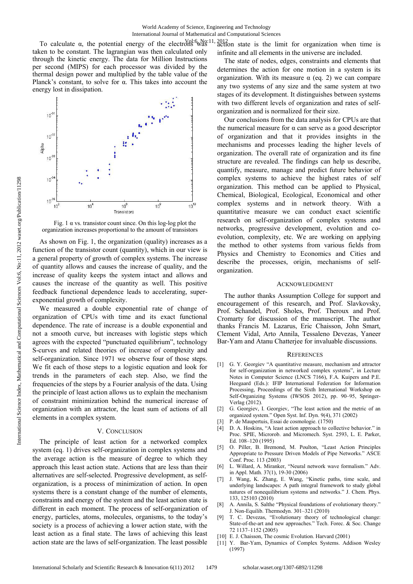To calculate  $\alpha$ , the potential energy of the electrons was 11, 2012 action state is the limit for organization when time is taken to be constant. The lagrangian was then calculated only through the kinetic energy. The data for Million Instructions per second (MIPS) for each processor was divided by the thermal design power and multiplied by the table value of the Planck's constant, to solve for α. This takes into account the energy lost in dissipation.



Fig. 1  $\alpha$  vs. transistor count since. On this log-log plot the organization increases proportional to the amount of transistors

As shown on Fig. 1, the organization (quality) increases as a function of the transistor count (quantity), which in our view is a general property of growth of complex systems. The increase of quantity allows and causes the increase of quality, and the increase of quality keeps the system intact and allows and causes the increase of the quantity as well. This positive feedback functional dependence leads to accelerating, superexponential growth of complexity.

We measured a double exponential rate of change of organization of CPUs with time and its exact functional dependence. The rate of increase is a double exponential and not a smooth curve, but increases with logistic steps which agrees with the expected "punctuated equilibrium", technology S-curves and related theories of increase of complexity and self-organization. Since 1971 we observe four of those steps. We fit each of those steps to a logistic equation and look for trends in the parameters of each step. Also, we find the frequencies of the steps by a Fourier analysis of the data. Using the principle of least action allows us to explain the mechanism of constraint minimization behind the numerical increase of organization with an attractor, the least sum of actions of all elements in a complex system.

#### V. CONCLUSION

The principle of least action for a networked complex system (eq. 1) drives self-organization in complex systems and the average action is the measure of degree to which they approach this least action state. Actions that are less than their alternatives are self-selected. Progressive development, as selforganization, is a process of minimization of action. In open systems there is a constant change of the number of elements, constraints and energy of the system and the least action state is different in each moment. The process of self-organization of energy, particles, atoms, molecules, organisms, to the today's society is a process of achieving a lower action state, with the least action as a final state. The laws of achieving this least action state are the laws of self-organization. The least possible

infinite and all elements in the universe are included.

The state of nodes, edges, constraints and elements that determines the action for one motion in a system is its organization. With its measure  $\alpha$  (eq. 2) we can compare any two systems of any size and the same system at two stages of its development. It distinguishes between systems with two different levels of organization and rates of selforganization and is normalized for their size.

Our conclusions from the data analysis for CPUs are that the numerical measure for α can serve as a good descriptor of organization and that it provides insights in the mechanisms and processes leading the higher levels of organization. The overall rate of organization and its fine structure are revealed. The findings can help us describe, quantify, measure, manage and predict future behavior of complex systems to achieve the highest rates of self organization. This method can be applied to Physical, Chemical, Biological, Ecological, Economical and other complex systems and in network theory. With a quantitative measure we can conduct exact scientific research on self-organization of complex systems and networks, progressive development, evolution and coevolution, complexity, etc. We are working on applying the method to other systems from various fields from Physics and Chemistry to Economics and Cities and describe the processes, origin, mechanisms of selforganization.

#### ACKNOWLEDGMENT

The author thanks Assumption College for support and encouragement of this research, and Prof. Slavkovsky, Prof. Schandel, Prof. Sholes, Prof. Theroux and Prof. Cromarty for discussion of the manuscript. The author thanks Francis M. Lazarus, Eric Chaisson, John Smart, Clement Vidal, Arto Annila, Tessaleno Devezas, Yaneer Bar-Yam and Atanu Chatterjee for invaluable discussions.

#### **REFERENCES**

- [1] G. Y. Georgiev "A quantitative measure, mechanism and attractor for self-organization in networked complex systems", in Lecture Notes in Computer Science (LNCS 7166), F.A. Kuipers and P.E. Heegaard (Eds.): IFIP International Federation for Information Processing, Proceedings of the Sixth International Workshop on Self-Organizing Systems (IWSOS 2012), pp. 90–95, Springer-Verlag (2012).
- [2] G. Georgiev, I. Georgiev, "The least action and the metric of an organized system." Open Syst. Inf. Dyn. 9(4), 371 (2002)
- [3] P. de Maupertuis, Essai de cosmologie. (1750) <br>[4] D. A. Hoskins, "A least action approach to co
- D. A. Hoskins, "A least action approach to collective behavior." in Proc. SPIE, Microrob. and Micromech. Syst. 2593, L. E. Parker, Ed. 108–120 (1995)
- [5] O. Piller, B. Bremond, M. Poulton, "Least Action Principles Appropriate to Pressure Driven Models of Pipe Networks." ASCE Conf. Proc. 113 (2003)
- [6] L. Willard, A. Miranker, "Neural network wave formalism." Adv. in Appl. Math. 37(1), 19-30 (2006)
- [7] J. Wang, K. Zhang, E. Wang, "Kinetic paths, time scale, and underlying landscapes: A path integral framework to study global natures of nonequilibrium systems and networks." J. Chem. Phys. 133, 125103 (2010)
- [8] A. Annila, S. Salthe "Physical foundations of evolutionary theory." J. Non-Equilib. Thermodyn. 301–321 (2010)
- T. C. Devezas, "Evolutionary theory of technological change: State-of-the-art and new approaches." Tech. Forec. & Soc. Change 72 1137–1152 (2005)
- [10] E. J. Chaisson, The cosmic Evolution. Harvard (2001)
- [11] Y. Bar-Yam, Dynamics of Complex Systems. Addison Wesley (1997)